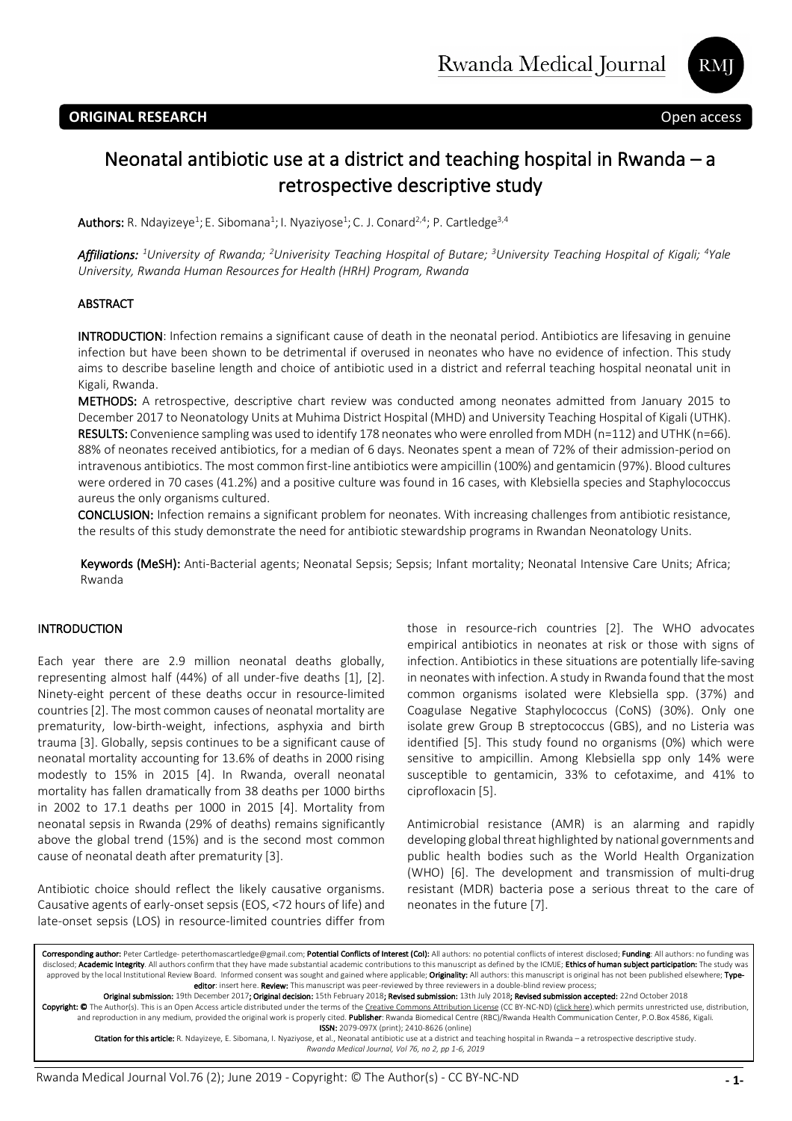**RM** 

# Neonatal antibiotic use at a district and teaching hospital in Rwanda – a retrospective descriptive study

**Authors:** R. Ndayizeye<sup>1</sup>; E. Sibomana<sup>1</sup>; I. Nyaziyose<sup>1</sup>; C. J. Conard<sup>2,4</sup>; P. Cartledge<sup>3,4</sup>

*Affiliations: <sup>1</sup> University of Rwanda; <sup>2</sup> Univerisity Teaching Hospital of Butare; 3 University Teaching Hospital of Kigali; <sup>4</sup> Yale University, Rwanda Human Resources for Health (HRH) Program, Rwanda*

#### ABSTRACT

INTRODUCTION: Infection remains a significant cause of death in the neonatal period. Antibiotics are lifesaving in genuine infection but have been shown to be detrimental if overused in neonates who have no evidence of infection. This study aims to describe baseline length and choice of antibiotic used in a district and referral teaching hospital neonatal unit in Kigali, Rwanda.

METHODS: A retrospective, descriptive chart review was conducted among neonates admitted from January 2015 to December 2017 to Neonatology Units at Muhima District Hospital (MHD) and University Teaching Hospital of Kigali (UTHK). RESULTS: Convenience sampling was used to identify 178 neonates who were enrolled from MDH (n=112) and UTHK (n=66). 88% of neonates received antibiotics, for a median of 6 days. Neonates spent a mean of 72% of their admission-period on intravenous antibiotics. The most common first-line antibiotics were ampicillin (100%) and gentamicin (97%). Blood cultures were ordered in 70 cases (41.2%) and a positive culture was found in 16 cases, with Klebsiella species and Staphylococcus aureus the only organisms cultured.

CONCLUSION: Infection remains a significant problem for neonates. With increasing challenges from antibiotic resistance, the results of this study demonstrate the need for antibiotic stewardship programs in Rwandan Neonatology Units.

Keywords (MeSH): Anti-Bacterial agents; Neonatal Sepsis; Sepsis; Infant mortality; Neonatal Intensive Care Units; Africa; Rwanda

### INTRODUCTION

Each year there are 2.9 million neonatal deaths globally, representing almost half (44%) of all under-five deaths [1], [2]. Ninety-eight percent of these deaths occur in resource-limited countries [2]. The most common causes of neonatal mortality are prematurity, low-birth-weight, infections, asphyxia and birth trauma [3]. Globally, sepsis continues to be a significant cause of neonatal mortality accounting for 13.6% of deaths in 2000 rising modestly to 15% in 2015 [4]. In Rwanda, overall neonatal mortality has fallen dramatically from 38 deaths per 1000 births in 2002 to 17.1 deaths per 1000 in 2015 [4]. Mortality from neonatal sepsis in Rwanda (29% of deaths) remains significantly above the global trend (15%) and is the second most common cause of neonatal death after prematurity [3].

Antibiotic choice should reflect the likely causative organisms. Causative agents of early-onset sepsis (EOS, <72 hours of life) and late-onset sepsis (LOS) in resource-limited countries differ from those in resource-rich countries [2]. The WHO advocates empirical antibiotics in neonates at risk or those with signs of infection. Antibiotics in these situations are potentially life-saving in neonates with infection. A study in Rwanda found that the most common organisms isolated were Klebsiella spp. (37%) and Coagulase Negative Staphylococcus (CoNS) (30%). Only one isolate grew Group B streptococcus (GBS), and no Listeria was identified [5]. This study found no organisms (0%) which were sensitive to ampicillin. Among Klebsiella spp only 14% were susceptible to gentamicin, 33% to cefotaxime, and 41% to ciprofloxacin [5].

Antimicrobial resistance (AMR) is an alarming and rapidly developing global threat highlighted by national governments and public health bodies such as the World Health Organization (WHO) [6]. The development and transmission of multi-drug resistant (MDR) bacteria pose a serious threat to the care of neonates in the future [7].

Corresponding author: Peter Cartledge- peterthomascartledge@gmail.com; Potential Conflicts of Interest (CoI): All authors: no potential conflicts of interest disclosed; Funding: All authors: no funding was disclosed; Academic Integrity. All authors confirm that they have made substantial academic contributions to this manuscript as defined by the ICMJE; Ethics of human subject participation: The study was approved by the local Institutional Review Board. Informed consent was sought and gained where applicable; Originality: All authors: this manuscript is original has not been published elsewhere; Typeeditor: insert here. Review: This manuscript was peer-reviewed by three reviewers in a double-blind review process;

Original submission: 19th December 2017; Original decision: 15th February 2018; Revised submission: 13th July 2018; Revised submission accepted: 22nd October 2018

**Copyright: ©** The Author(s). This is an Open Access article distributed under the terms of the <u>Creative Commons Attribution License</u> (CC BY-NC-ND) (<u>click here)</u>.which permits unrestricted use, distribution,<br>and reproduc ISSN: 2079-097X (print); 2410-8626 (online)

Citation for this article: R. Ndayizeye, E. Sibomana, I. Nyaziyose, et al., Neonatal antibiotic use at a district and teaching hospital in Rwanda – a retrospective descriptive study. *Rwanda Medical Journal, Vol 76, no 2, pp 1-6, 2019*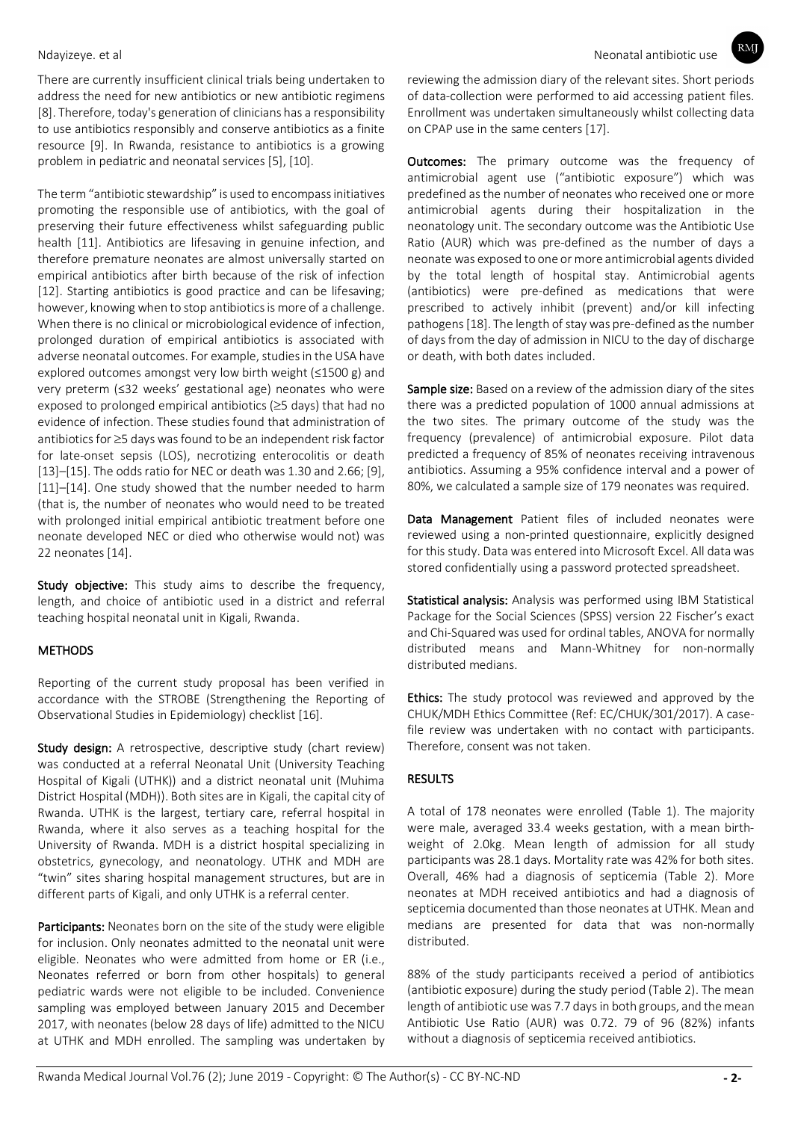There are currently insufficient clinical trials being undertaken to address the need for new antibiotics or new antibiotic regimens [8]. Therefore, today's generation of clinicians has a responsibility to use antibiotics responsibly and conserve antibiotics as a finite resource [9]. In Rwanda, resistance to antibiotics is a growing problem in pediatric and neonatal services [5], [10].

The term "antibiotic stewardship" is used to encompass initiatives promoting the responsible use of antibiotics, with the goal of preserving their future effectiveness whilst safeguarding public health [11]. Antibiotics are lifesaving in genuine infection, and therefore premature neonates are almost universally started on empirical antibiotics after birth because of the risk of infection [12]. Starting antibiotics is good practice and can be lifesaving; however, knowing when to stop antibiotics is more of a challenge. When there is no clinical or microbiological evidence of infection, prolonged duration of empirical antibiotics is associated with adverse neonatal outcomes. For example, studies in the USA have explored outcomes amongst very low birth weight (≤1500 g) and very preterm (≤32 weeks' gestational age) neonates who were exposed to prolonged empirical antibiotics ( $\geq$ 5 days) that had no evidence of infection. These studies found that administration of antibiotics for  $\geq$ 5 days was found to be an independent risk factor for late-onset sepsis (LOS), necrotizing enterocolitis or death [13]–[15]. The odds ratio for NEC or death was 1.30 and 2.66; [9], [11]–[14]. One study showed that the number needed to harm (that is, the number of neonates who would need to be treated with prolonged initial empirical antibiotic treatment before one neonate developed NEC or died who otherwise would not) was 22 neonates [14].

Study objective: This study aims to describe the frequency, length, and choice of antibiotic used in a district and referral teaching hospital neonatal unit in Kigali, Rwanda.

# **METHODS**

Reporting of the current study proposal has been verified in accordance with the STROBE (Strengthening the Reporting of Observational Studies in Epidemiology) checklist [16].

Study design: A retrospective, descriptive study (chart review) was conducted at a referral Neonatal Unit (University Teaching Hospital of Kigali (UTHK)) and a district neonatal unit (Muhima District Hospital (MDH)). Both sites are in Kigali, the capital city of Rwanda. UTHK is the largest, tertiary care, referral hospital in Rwanda, where it also serves as a teaching hospital for the University of Rwanda. MDH is a district hospital specializing in obstetrics, gynecology, and neonatology. UTHK and MDH are "twin" sites sharing hospital management structures, but are in different parts of Kigali, and only UTHK is a referral center.

Participants: Neonates born on the site of the study were eligible for inclusion. Only neonates admitted to the neonatal unit were eligible. Neonates who were admitted from home or ER (i.e., Neonates referred or born from other hospitals) to general pediatric wards were not eligible to be included. Convenience sampling was employed between January 2015 and December 2017, with neonates (below 28 days of life) admitted to the NICU at UTHK and MDH enrolled. The sampling was undertaken by reviewing the admission diary of the relevant sites. Short periods of data-collection were performed to aid accessing patient files. Enrollment was undertaken simultaneously whilst collecting data on CPAP use in the same centers [17].

**Outcomes:** The primary outcome was the frequency of antimicrobial agent use ("antibiotic exposure") which was predefined as the number of neonates who received one or more antimicrobial agents during their hospitalization in the neonatology unit. The secondary outcome was the Antibiotic Use Ratio (AUR) which was pre-defined as the number of days a neonate was exposed to one or more antimicrobial agents divided by the total length of hospital stay. Antimicrobial agents (antibiotics) were pre-defined as medications that were prescribed to actively inhibit (prevent) and/or kill infecting pathogens [18]. The length of stay was pre-defined as the number of days from the day of admission in NICU to the day of discharge or death, with both dates included.

Sample size: Based on a review of the admission diary of the sites there was a predicted population of 1000 annual admissions at the two sites. The primary outcome of the study was the frequency (prevalence) of antimicrobial exposure. Pilot data predicted a frequency of 85% of neonates receiving intravenous antibiotics. Assuming a 95% confidence interval and a power of 80%, we calculated a sample size of 179 neonates was required.

Data Management Patient files of included neonates were reviewed using a non-printed questionnaire, explicitly designed for this study. Data was entered into Microsoft Excel. All data was stored confidentially using a password protected spreadsheet.

Statistical analysis: Analysis was performed using IBM Statistical Package for the Social Sciences (SPSS) version 22 Fischer's exact and Chi-Squared was used for ordinal tables, ANOVA for normally distributed means and Mann-Whitney for non-normally distributed medians.

Ethics: The study protocol was reviewed and approved by the CHUK/MDH Ethics Committee (Ref: EC/CHUK/301/2017). A casefile review was undertaken with no contact with participants. Therefore, consent was not taken.

# **RESULTS**

A total of 178 neonates were enrolled (Table 1). The majority were male, averaged 33.4 weeks gestation, with a mean birthweight of 2.0kg. Mean length of admission for all study participants was 28.1 days. Mortality rate was 42% for both sites. Overall, 46% had a diagnosis of septicemia (Table 2). More neonates at MDH received antibiotics and had a diagnosis of septicemia documented than those neonates at UTHK. Mean and medians are presented for data that was non-normally distributed.

88% of the study participants received a period of antibiotics (antibiotic exposure) during the study period (Table 2). The mean length of antibiotic use was 7.7 days in both groups, and the mean Antibiotic Use Ratio (AUR) was 0.72. 79 of 96 (82%) infants without a diagnosis of septicemia received antibiotics.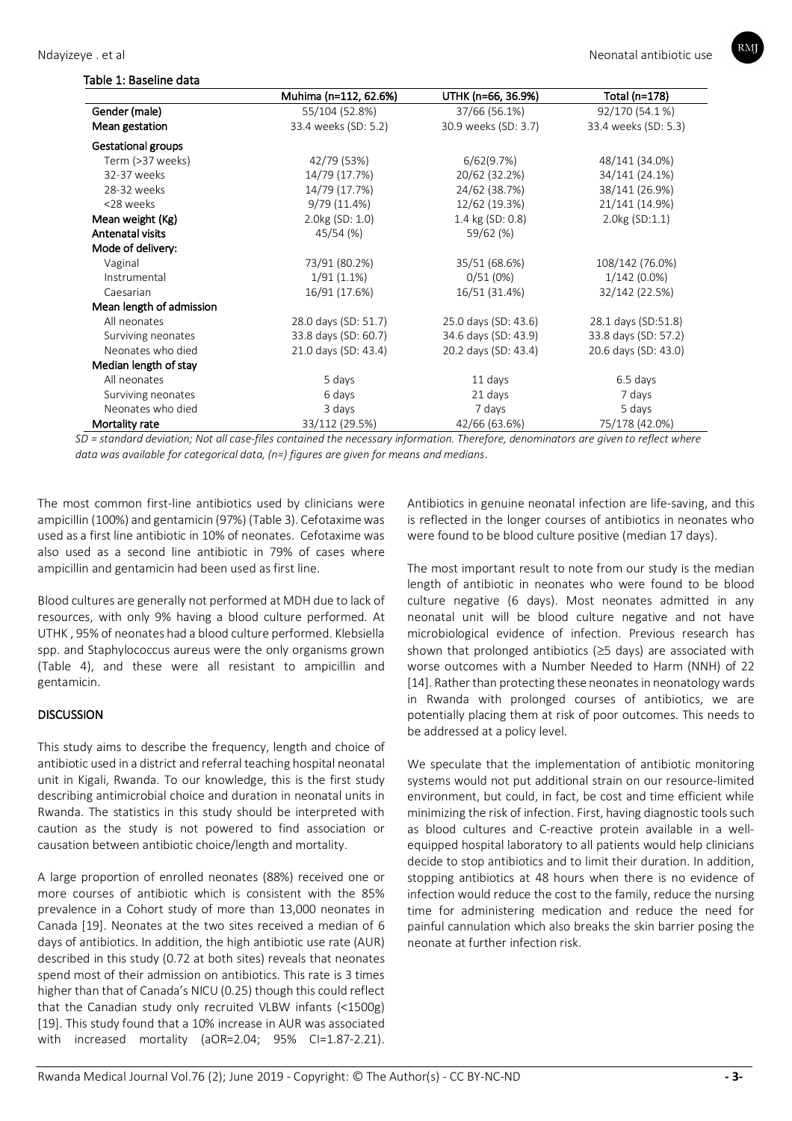

| Table 1: Baseline data |  |  |  |
|------------------------|--|--|--|
|                        |  |  |  |
|                        |  |  |  |

|                           | Muhima (n=112, 62.6%) | UTHK (n=66, 36.9%)   | Total (n=178)        |
|---------------------------|-----------------------|----------------------|----------------------|
| Gender (male)             | 55/104 (52.8%)        | 37/66 (56.1%)        | 92/170 (54.1%)       |
| Mean gestation            | 33.4 weeks (SD: 5.2)  | 30.9 weeks (SD: 3.7) | 33.4 weeks (SD: 5.3) |
| <b>Gestational groups</b> |                       |                      |                      |
| Term (>37 weeks)          | 42/79 (53%)           | 6/62(9.7%)           | 48/141 (34.0%)       |
| 32-37 weeks               | 14/79 (17.7%)         | 20/62 (32.2%)        | 34/141 (24.1%)       |
| 28-32 weeks               | 14/79 (17.7%)         | 24/62 (38.7%)        | 38/141 (26.9%)       |
| <28 weeks                 | 9/79 (11.4%)          | 12/62 (19.3%)        | 21/141 (14.9%)       |
| Mean weight (Kg)          | $2.0kg$ (SD: 1.0)     | 1.4 kg (SD: 0.8)     | 2.0kg (SD:1.1)       |
| Antenatal visits          | 45/54 (%)             | 59/62 (%)            |                      |
| Mode of delivery:         |                       |                      |                      |
| Vaginal                   | 73/91 (80.2%)         | 35/51 (68.6%)        | 108/142 (76.0%)      |
| Instrumental              | $1/91(1.1\%)$         | 0/51(0%)             | $1/142(0.0\%)$       |
| Caesarian                 | 16/91 (17.6%)         | 16/51 (31.4%)        | 32/142 (22.5%)       |
| Mean length of admission  |                       |                      |                      |
| All neonates              | 28.0 days (SD: 51.7)  | 25.0 days (SD: 43.6) | 28.1 days (SD:51.8)  |
| Surviving neonates        | 33.8 days (SD: 60.7)  | 34.6 days (SD: 43.9) | 33.8 days (SD: 57.2) |
| Neonates who died         | 21.0 days (SD: 43.4)  | 20.2 days (SD: 43.4) | 20.6 days (SD: 43.0) |
| Median length of stay     |                       |                      |                      |
| All neonates              | 5 days                | 11 days              | 6.5 days             |
| Surviving neonates        | 6 days                | 21 days              | 7 days               |
| Neonates who died         | 3 days                | 7 days               | 5 days               |
| Mortality rate            | 33/112 (29.5%)        | 42/66 (63.6%)        | 75/178 (42.0%)       |

*SD = standard deviation; Not all case-files contained the necessary information. Therefore, denominators are given to reflect where data was available for categorical data, (n=) figures are given for means and medians*.

The most common first-line antibiotics used by clinicians were ampicillin (100%) and gentamicin (97%) (Table 3). Cefotaxime was used as a first line antibiotic in 10% of neonates. Cefotaxime was also used as a second line antibiotic in 79% of cases where ampicillin and gentamicin had been used as first line.

Blood cultures are generally not performed at MDH due to lack of resources, with only 9% having a blood culture performed. At UTHK , 95% of neonates had a blood culture performed. Klebsiella spp. and Staphylococcus aureus were the only organisms grown (Table 4), and these were all resistant to ampicillin and gentamicin.

# **DISCUSSION**

This study aims to describe the frequency, length and choice of antibiotic used in a district and referral teaching hospital neonatal unit in Kigali, Rwanda. To our knowledge, this is the first study describing antimicrobial choice and duration in neonatal units in Rwanda. The statistics in this study should be interpreted with caution as the study is not powered to find association or causation between antibiotic choice/length and mortality.

A large proportion of enrolled neonates (88%) received one or more courses of antibiotic which is consistent with the 85% prevalence in a Cohort study of more than 13,000 neonates in Canada [19]. Neonates at the two sites received a median of 6 days of antibiotics. In addition, the high antibiotic use rate (AUR) described in this study (0.72 at both sites) reveals that neonates spend most of their admission on antibiotics. This rate is 3 times higher than that of Canada's NICU (0.25) though this could reflect that the Canadian study only recruited VLBW infants (<1500g) [19]. This study found that a 10% increase in AUR was associated with increased mortality (aOR=2.04; 95% CI=1.87-2.21).

Antibiotics in genuine neonatal infection are life-saving, and this is reflected in the longer courses of antibiotics in neonates who were found to be blood culture positive (median 17 days).

The most important result to note from our study is the median length of antibiotic in neonates who were found to be blood culture negative (6 days). Most neonates admitted in any neonatal unit will be blood culture negative and not have microbiological evidence of infection. Previous research has shown that prolonged antibiotics  $(≥5$  days) are associated with worse outcomes with a Number Needed to Harm (NNH) of 22 [14]. Rather than protecting these neonates in neonatology wards in Rwanda with prolonged courses of antibiotics, we are potentially placing them at risk of poor outcomes. This needs to be addressed at a policy level.

We speculate that the implementation of antibiotic monitoring systems would not put additional strain on our resource-limited environment, but could, in fact, be cost and time efficient while minimizing the risk of infection. First, having diagnostic tools such as blood cultures and C-reactive protein available in a wellequipped hospital laboratory to all patients would help clinicians decide to stop antibiotics and to limit their duration. In addition, stopping antibiotics at 48 hours when there is no evidence of infection would reduce the cost to the family, reduce the nursing time for administering medication and reduce the need for painful cannulation which also breaks the skin barrier posing the neonate at further infection risk.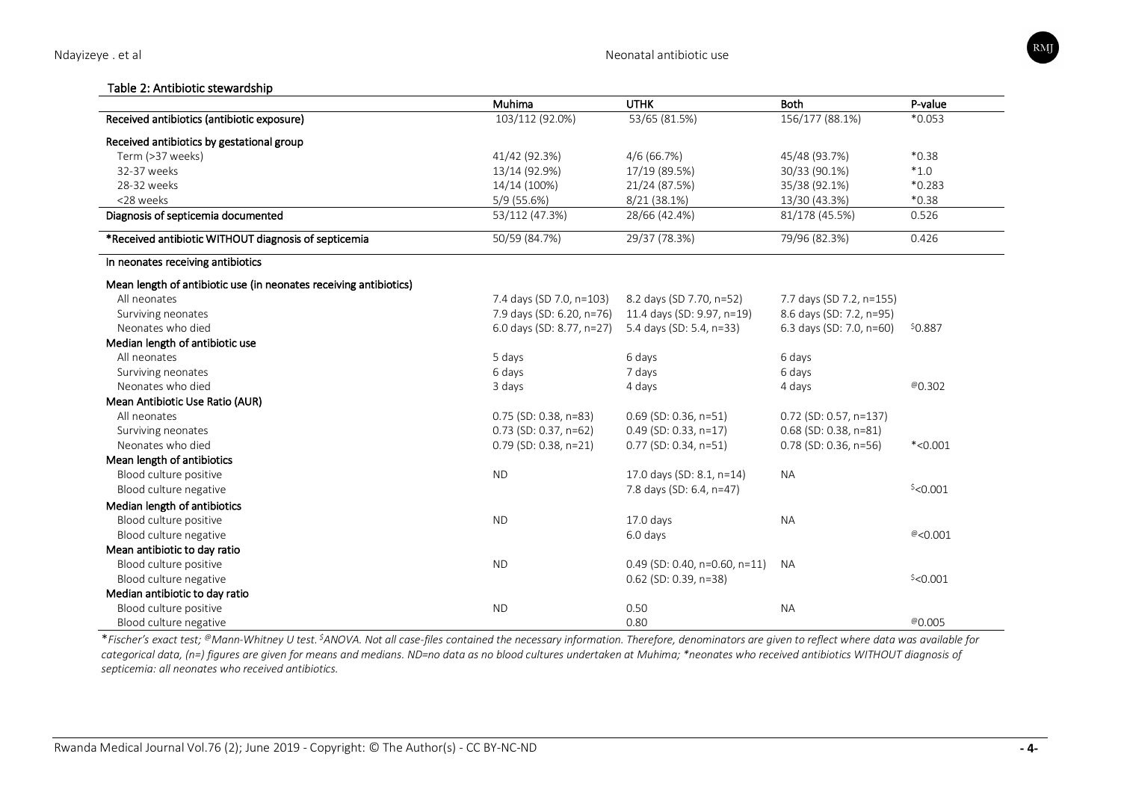## Table 2: Antibiotic stewardship

|                                                                   | Muhima                    | <b>UTHK</b>                   | <b>Both</b>              | P-value    |
|-------------------------------------------------------------------|---------------------------|-------------------------------|--------------------------|------------|
| Received antibiotics (antibiotic exposure)                        | 103/112 (92.0%)           | 53/65 (81.5%)                 | 156/177 (88.1%)          | $*0.053$   |
| Received antibiotics by gestational group                         |                           |                               |                          |            |
| Term (>37 weeks)                                                  | 41/42 (92.3%)             | $4/6$ (66.7%)                 | 45/48 (93.7%)            | $*0.38$    |
| 32-37 weeks                                                       | 13/14 (92.9%)             | 17/19 (89.5%)                 | 30/33 (90.1%)            | $*1.0$     |
| 28-32 weeks                                                       | 14/14 (100%)              | 21/24 (87.5%)                 | 35/38 (92.1%)            | $*0.283$   |
| <28 weeks                                                         | 5/9 (55.6%)               | 8/21 (38.1%)                  | 13/30 (43.3%)            | $*0.38$    |
| Diagnosis of septicemia documented                                | 53/112 (47.3%)            | 28/66 (42.4%)                 | 81/178 (45.5%)           | 0.526      |
| *Received antibiotic WITHOUT diagnosis of septicemia              | 50/59 (84.7%)             | 29/37 (78.3%)                 | 79/96 (82.3%)            | 0.426      |
| In neonates receiving antibiotics                                 |                           |                               |                          |            |
| Mean length of antibiotic use (in neonates receiving antibiotics) |                           |                               |                          |            |
| All neonates                                                      | 7.4 days (SD 7.0, n=103)  | 8.2 days (SD 7.70, n=52)      | 7.7 days (SD 7.2, n=155) |            |
| Surviving neonates                                                | 7.9 days (SD: 6.20, n=76) | 11.4 days (SD: 9.97, n=19)    | 8.6 days (SD: 7.2, n=95) |            |
| Neonates who died                                                 | 6.0 days (SD: 8.77, n=27) | 5.4 days (SD: 5.4, n=33)      | 6.3 days (SD: 7.0, n=60) | \$0.887    |
| Median length of antibiotic use                                   |                           |                               |                          |            |
| All neonates                                                      | 5 days                    | 6 days                        | 6 days                   |            |
| Surviving neonates                                                | 6 days                    | 7 days                        | 6 days                   |            |
| Neonates who died                                                 | 3 days                    | 4 days                        | 4 days                   | @0.302     |
| Mean Antibiotic Use Ratio (AUR)                                   |                           |                               |                          |            |
| All neonates                                                      | $0.75$ (SD: 0.38, n=83)   | $0.69$ (SD: 0.36, n=51)       | $0.72$ (SD: 0.57, n=137) |            |
| Surviving neonates                                                | 0.73 (SD: 0.37, n=62)     | $0.49$ (SD: 0.33, n=17)       | $0.68$ (SD: 0.38, n=81)  |            |
| Neonates who died                                                 | $0.79$ (SD: 0.38, n=21)   | $0.77$ (SD: 0.34, n=51)       | $0.78$ (SD: 0.36, n=56)  | $*<0.001$  |
| Mean length of antibiotics                                        |                           |                               |                          |            |
| Blood culture positive                                            | <b>ND</b>                 | 17.0 days (SD: 8.1, n=14)     | <b>NA</b>                |            |
| Blood culture negative                                            |                           | 7.8 days (SD: 6.4, n=47)      |                          | $$<$ 0.001 |
| Median length of antibiotics                                      |                           |                               |                          |            |
| Blood culture positive                                            | <b>ND</b>                 | 17.0 days                     | NA                       |            |
| Blood culture negative                                            |                           | 6.0 days                      |                          | @ < 0.001  |
| Mean antibiotic to day ratio                                      |                           |                               |                          |            |
| Blood culture positive                                            | <b>ND</b>                 | 0.49 (SD: 0.40, n=0.60, n=11) | <b>NA</b>                |            |
| Blood culture negative                                            |                           | $0.62$ (SD: 0.39, n=38)       |                          | $$<$ 0.001 |
| Median antibiotic to day ratio                                    |                           |                               |                          |            |
| Blood culture positive                                            | <b>ND</b>                 | 0.50                          | <b>NA</b>                |            |
| Blood culture negative                                            |                           | 0.80                          |                          | @0.005     |

\**Fischer's exact test; @Mann-Whitney U test. \$ANOVA. Not all case-files contained the necessary information. Therefore, denominators are given to reflect where data was available for categorical data, (n=) figures are given for means and medians. ND=no data as no blood cultures undertaken at Muhima; \*neonates who received antibiotics WITHOUT diagnosis of septicemia: all neonates who received antibiotics.*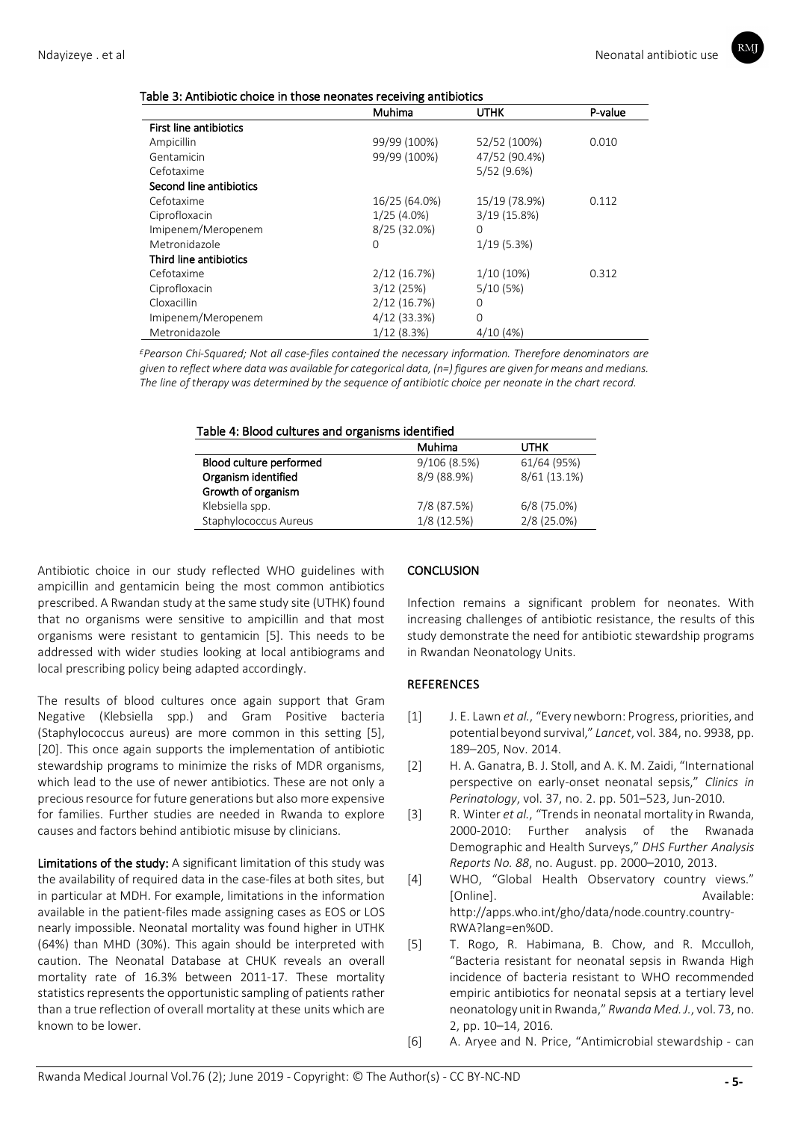| Table 3: Antibiotic choice in those neonates receiving antibiotics |  |
|--------------------------------------------------------------------|--|
|--------------------------------------------------------------------|--|

|                               | ∼о<br>Muhima   | <b>UTHK</b>   | P-value |
|-------------------------------|----------------|---------------|---------|
| <b>First line antibiotics</b> |                |               |         |
| Ampicillin                    | 99/99 (100%)   | 52/52 (100%)  | 0.010   |
| Gentamicin                    | 99/99 (100%)   | 47/52 (90.4%) |         |
| Cefotaxime                    |                | 5/52(9.6%)    |         |
| Second line antibiotics       |                |               |         |
| Cefotaxime                    | 16/25 (64.0%)  | 15/19 (78.9%) | 0.112   |
| Ciprofloxacin                 | $1/25(4.0\%)$  | 3/19(15.8%)   |         |
| Imipenem/Meropenem            | 8/25 (32.0%)   | $\Omega$      |         |
| Metronidazole                 | $\Omega$       | 1/19(5.3%)    |         |
| Third line antibiotics        |                |               |         |
| Cefotaxime                    | 2/12(16.7%)    | $1/10(10\%)$  | 0.312   |
| Ciprofloxacin                 | 3/12(25%)      | 5/10(5%)      |         |
| Cloxacillin                   | 2/12(16.7%)    | 0             |         |
| Imipenem/Meropenem            | $4/12$ (33.3%) | 0             |         |
| Metronidazole                 | 1/12(8.3%)     | 4/10(4%)      |         |

*£Pearson Chi-Squared; Not all case-files contained the necessary information. Therefore denominators are given to reflect where data was available for categorical data, (n=) figures are given for means and medians. The line of therapy was determined by the sequence of antibiotic choice per neonate in the chart record.* 

| Table 4: Blood cultures and organisms identified |  |
|--------------------------------------------------|--|
|--------------------------------------------------|--|

|                         | Muhima      | UTHK          |
|-------------------------|-------------|---------------|
| Blood culture performed | 9/106(8.5%) | 61/64 (95%)   |
| Organism identified     | 8/9 (88.9%) | 8/61 (13.1%)  |
| Growth of organism      |             |               |
| Klebsiella spp.         | 7/8 (87.5%) | $6/8$ (75.0%) |
| Staphylococcus Aureus   | 1/8(12.5%)  | 2/8 (25.0%)   |

Antibiotic choice in our study reflected WHO guidelines with ampicillin and gentamicin being the most common antibiotics prescribed. A Rwandan study at the same study site (UTHK) found that no organisms were sensitive to ampicillin and that most organisms were resistant to gentamicin [5]. This needs to be addressed with wider studies looking at local antibiograms and local prescribing policy being adapted accordingly.

The results of blood cultures once again support that Gram Negative (Klebsiella spp.) and Gram Positive bacteria (Staphylococcus aureus) are more common in this setting [5], [20]. This once again supports the implementation of antibiotic stewardship programs to minimize the risks of MDR organisms, which lead to the use of newer antibiotics. These are not only a precious resource for future generations but also more expensive for families. Further studies are needed in Rwanda to explore causes and factors behind antibiotic misuse by clinicians.

Limitations of the study: A significant limitation of this study was the availability of required data in the case-files at both sites, but in particular at MDH. For example, limitations in the information available in the patient-files made assigning cases as EOS or LOS nearly impossible. Neonatal mortality was found higher in UTHK (64%) than MHD (30%). This again should be interpreted with caution. The Neonatal Database at CHUK reveals an overall mortality rate of 16.3% between 2011-17. These mortality statistics represents the opportunistic sampling of patients rather than a true reflection of overall mortality at these units which are known to be lower.

# **CONCLUSION**

Infection remains a significant problem for neonates. With increasing challenges of antibiotic resistance, the results of this study demonstrate the need for antibiotic stewardship programs in Rwandan Neonatology Units.

# **REFERENCES**

- [1] J. E. Lawn *et al.*, "Every newborn: Progress, priorities, and potential beyond survival," *Lancet*, vol. 384, no. 9938, pp. 189–205, Nov. 2014.
- [2] H. A. Ganatra, B. J. Stoll, and A. K. M. Zaidi, "International perspective on early-onset neonatal sepsis," *Clinics in Perinatology*, vol. 37, no. 2. pp. 501–523, Jun-2010.
- [3] R. Winter *et al.*, "Trends in neonatal mortality in Rwanda, 2000-2010: Further analysis of the Rwanada Demographic and Health Surveys," *DHS Further Analysis Reports No. 88*, no. August. pp. 2000–2010, 2013.
- [4] WHO, "Global Health Observatory country views." [Online]. Available: http://apps.who.int/gho/data/node.country.country-RWA?lang=en%0D.
- [5] T. Rogo, R. Habimana, B. Chow, and R. Mcculloh, "Bacteria resistant for neonatal sepsis in Rwanda High incidence of bacteria resistant to WHO recommended empiric antibiotics for neonatal sepsis at a tertiary level neonatology unit in Rwanda," *Rwanda Med. J.*, vol. 73, no. 2, pp. 10–14, 2016.
- [6] A. Aryee and N. Price, "Antimicrobial stewardship can